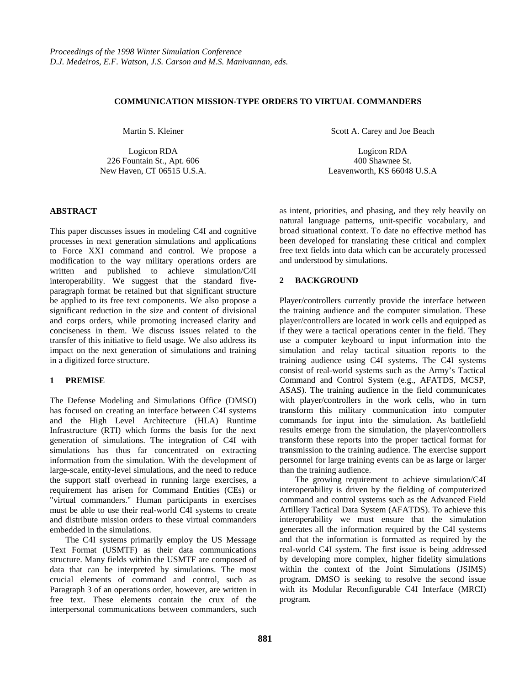## **COMMUNICATION MISSION-TYPE ORDERS TO VIRTUAL COMMANDERS**

Martin S. Kleiner

Logicon RDA 226 Fountain St., Apt. 606 New Haven, CT 06515 U.S.A.

### **ABSTRACT**

This paper discusses issues in modeling C4I and cognitive processes in next generation simulations and applications to Force XXI command and control. We propose a modification to the way military operations orders are written and published to achieve simulation/C4I interoperability. We suggest that the standard fiveparagraph format be retained but that significant structure be applied to its free text components. We also propose a significant reduction in the size and content of divisional and corps orders, while promoting increased clarity and conciseness in them. We discuss issues related to the transfer of this initiative to field usage. We also address its impact on the next generation of simulations and training in a digitized force structure.

## **1 PREMISE**

The Defense Modeling and Simulations Office (DMSO) has focused on creating an interface between C4I systems and the High Level Architecture (HLA) Runtime Infrastructure (RTI) which forms the basis for the next generation of simulations. The integration of C4I with simulations has thus far concentrated on extracting information from the simulation. With the development of large-scale, entity-level simulations, and the need to reduce the support staff overhead in running large exercises, a requirement has arisen for Command Entities (CEs) or "virtual commanders." Human participants in exercises must be able to use their real-world C4I systems to create and distribute mission orders to these virtual commanders embedded in the simulations.

The C4I systems primarily employ the US Message Text Format (USMTF) as their data communications structure. Many fields within the USMTF are composed of data that can be interpreted by simulations. The most crucial elements of command and control, such as Paragraph 3 of an operations order, however, are written in free text. These elements contain the crux of the interpersonal communications between commanders, such

Scott A. Carey and Joe Beach

Logicon RDA 400 Shawnee St. Leavenworth, KS 66048 U.S.A

as intent, priorities, and phasing, and they rely heavily on natural language patterns, unit-specific vocabulary, and broad situational context. To date no effective method has been developed for translating these critical and complex free text fields into data which can be accurately processed and understood by simulations.

### **2 BACKGROUND**

Player/controllers currently provide the interface between the training audience and the computer simulation. These player/controllers are located in work cells and equipped as if they were a tactical operations center in the field. They use a computer keyboard to input information into the simulation and relay tactical situation reports to the training audience using C4I systems. The C4I systems consist of real-world systems such as the Army's Tactical Command and Control System (e.g., AFATDS, MCSP, ASAS). The training audience in the field communicates with player/controllers in the work cells, who in turn transform this military communication into computer commands for input into the simulation. As battlefield results emerge from the simulation, the player/controllers transform these reports into the proper tactical format for transmission to the training audience. The exercise support personnel for large training events can be as large or larger than the training audience.

The growing requirement to achieve simulation/C4I interoperability is driven by the fielding of computerized command and control systems such as the Advanced Field Artillery Tactical Data System (AFATDS). To achieve this interoperability we must ensure that the simulation generates all the information required by the C4I systems and that the information is formatted as required by the real-world C4I system. The first issue is being addressed by developing more complex, higher fidelity simulations within the context of the Joint Simulations (JSIMS) program. DMSO is seeking to resolve the second issue with its Modular Reconfigurable C4I Interface (MRCI) program.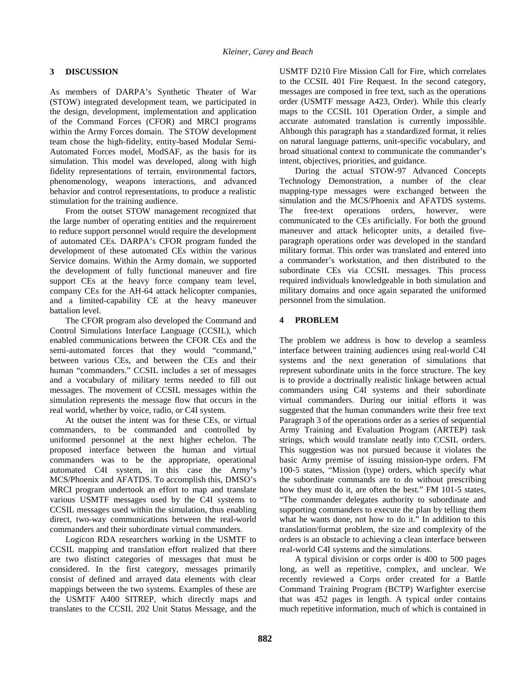# **3 DISCUSSION**

As members of DARPA's Synthetic Theater of War (STOW) integrated development team, we participated in the design, development, implementation and application of the Command Forces (CFOR) and MRCI programs within the Army Forces domain. The STOW development team chose the high-fidelity, entity-based Modular Semi-Automated Forces model, ModSAF, as the basis for its simulation. This model was developed, along with high fidelity representations of terrain, environmental factors, phenomenology, weapons interactions, and advanced behavior and control representations, to produce a realistic stimulation for the training audience.

From the outset STOW management recognized that the large number of operating entities and the requirement to reduce support personnel would require the development of automated CEs. DARPA's CFOR program funded the development of these automated CEs within the various Service domains. Within the Army domain, we supported the development of fully functional maneuver and fire support CEs at the heavy force company team level, company CEs for the AH-64 attack helicopter companies, and a limited-capability CE at the heavy maneuver battalion level.

The CFOR program also developed the Command and Control Simulations Interface Language (CCSIL), which enabled communications between the CFOR CEs and the semi-automated forces that they would "command," between various CEs, and between the CEs and their human "commanders." CCSIL includes a set of messages and a vocabulary of military terms needed to fill out messages. The movement of CCSIL messages within the simulation represents the message flow that occurs in the real world, whether by voice, radio, or C4I system.

At the outset the intent was for these CEs, or virtual commanders, to be commanded and controlled by uniformed personnel at the next higher echelon. The proposed interface between the human and virtual commanders was to be the appropriate, operational automated C4I system, in this case the Army's MCS/Phoenix and AFATDS. To accomplish this, DMSO's MRCI program undertook an effort to map and translate various USMTF messages used by the C4I systems to CCSIL messages used within the simulation, thus enabling direct, two-way communications between the real-world commanders and their subordinate virtual commanders.

Logicon RDA researchers working in the USMTF to CCSIL mapping and translation effort realized that there are two distinct categories of messages that must be considered. In the first category, messages primarily consist of defined and arrayed data elements with clear mappings between the two systems. Examples of these are the USMTF A400 SITREP, which directly maps and translates to the CCSIL 202 Unit Status Message, and the USMTF D210 Fire Mission Call for Fire, which correlates to the CCSIL 401 Fire Request. In the second category, messages are composed in free text, such as the operations order (USMTF message A423, Order). While this clearly maps to the CCSIL 101 Operation Order, a simple and accurate automated translation is currently impossible. Although this paragraph has a standardized format, it relies on natural language patterns, unit-specific vocabulary, and broad situational context to communicate the commander's intent, objectives, priorities, and guidance.

During the actual STOW-97 Advanced Concepts Technology Demonstration, a number of the clear mapping-type messages were exchanged between the simulation and the MCS/Phoenix and AFATDS systems. The free-text operations orders, however, were communicated to the CEs artificially. For both the ground maneuver and attack helicopter units, a detailed fiveparagraph operations order was developed in the standard military format. This order was translated and entered into a commander's workstation, and then distributed to the subordinate CEs via CCSIL messages. This process required individuals knowledgeable in both simulation and military domains and once again separated the uniformed personnel from the simulation.

## **4 PROBLEM**

The problem we address is how to develop a seamless interface between training audiences using real-world C4I systems and the next generation of simulations that represent subordinate units in the force structure. The key is to provide a doctrinally realistic linkage between actual commanders using C4I systems and their subordinate virtual commanders. During our initial efforts it was suggested that the human commanders write their free text Paragraph 3 of the operations order as a series of sequential Army Training and Evaluation Program (ARTEP) task strings, which would translate neatly into CCSIL orders. This suggestion was not pursued because it violates the basic Army premise of issuing mission-type orders. FM 100-5 states, "Mission (type) orders, which specify what the subordinate commands are to do without prescribing how they must do it, are often the best." FM 101-5 states, "The commander delegates authority to subordinate and supporting commanders to execute the plan by telling them what he wants done, not how to do it." In addition to this translation/format problem, the size and complexity of the orders is an obstacle to achieving a clean interface between real-world C4I systems and the simulations.

A typical division or corps order is 400 to 500 pages long, as well as repetitive, complex, and unclear. We recently reviewed a Corps order created for a Battle Command Training Program (BCTP) Warfighter exercise that was 452 pages in length. A typical order contains much repetitive information, much of which is contained in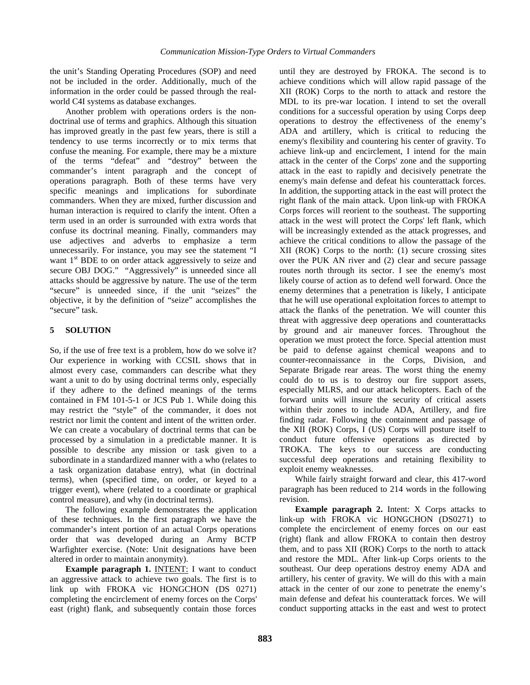the unit's Standing Operating Procedures (SOP) and need not be included in the order. Additionally, much of the information in the order could be passed through the realworld C4I systems as database exchanges.

Another problem with operations orders is the nondoctrinal use of terms and graphics. Although this situation has improved greatly in the past few years, there is still a tendency to use terms incorrectly or to mix terms that confuse the meaning. For example, there may be a mixture of the terms "defeat" and "destroy" between the commander's intent paragraph and the concept of operations paragraph. Both of these terms have very specific meanings and implications for subordinate commanders. When they are mixed, further discussion and human interaction is required to clarify the intent. Often a term used in an order is surrounded with extra words that confuse its doctrinal meaning. Finally, commanders may use adjectives and adverbs to emphasize a term unnecessarily. For instance, you may see the statement "I want  $1<sup>st</sup>$  BDE to on order attack aggressively to seize and secure OBJ DOG." "Aggressively" is unneeded since all attacks should be aggressive by nature. The use of the term "secure" is unneeded since, if the unit "seizes" the objective, it by the definition of "seize" accomplishes the "secure" task.

# **5 SOLUTION**

So, if the use of free text is a problem, how do we solve it? Our experience in working with CCSIL shows that in almost every case, commanders can describe what they want a unit to do by using doctrinal terms only, especially if they adhere to the defined meanings of the terms contained in FM 101-5-1 or JCS Pub 1. While doing this may restrict the "style" of the commander, it does not restrict nor limit the content and intent of the written order. We can create a vocabulary of doctrinal terms that can be processed by a simulation in a predictable manner. It is possible to describe any mission or task given to a subordinate in a standardized manner with a who (relates to a task organization database entry), what (in doctrinal terms), when (specified time, on order, or keyed to a trigger event), where (related to a coordinate or graphical control measure), and why (in doctrinal terms).

The following example demonstrates the application of these techniques. In the first paragraph we have the commander's intent portion of an actual Corps operations order that was developed during an Army BCTP Warfighter exercise. (Note: Unit designations have been altered in order to maintain anonymity).

**Example paragraph 1. INTENT: I want to conduct** an aggressive attack to achieve two goals. The first is to link up with FROKA vic HONGCHON (DS 0271) completing the encirclement of enemy forces on the Corps' east (right) flank, and subsequently contain those forces

until they are destroyed by FROKA. The second is to achieve conditions which will allow rapid passage of the XII (ROK) Corps to the north to attack and restore the MDL to its pre-war location. I intend to set the overall conditions for a successful operation by using Corps deep operations to destroy the effectiveness of the enemy's ADA and artillery, which is critical to reducing the enemy's flexibility and countering his center of gravity. To achieve link-up and encirclement, I intend for the main attack in the center of the Corps' zone and the supporting attack in the east to rapidly and decisively penetrate the enemy's main defense and defeat his counterattack forces. In addition, the supporting attack in the east will protect the right flank of the main attack. Upon link-up with FROKA Corps forces will reorient to the southeast. The supporting attack in the west will protect the Corps' left flank, which will be increasingly extended as the attack progresses, and achieve the critical conditions to allow the passage of the XII (ROK) Corps to the north: (1) secure crossing sites over the PUK AN river and (2) clear and secure passage routes north through its sector. I see the enemy's most likely course of action as to defend well forward. Once the enemy determines that a penetration is likely, I anticipate that he will use operational exploitation forces to attempt to attack the flanks of the penetration. We will counter this threat with aggressive deep operations and counterattacks by ground and air maneuver forces. Throughout the operation we must protect the force. Special attention must be paid to defense against chemical weapons and to counter-reconnaissance in the Corps, Division, and Separate Brigade rear areas. The worst thing the enemy could do to us is to destroy our fire support assets, especially MLRS, and our attack helicopters. Each of the forward units will insure the security of critical assets within their zones to include ADA, Artillery, and fire finding radar. Following the containment and passage of the XII (ROK) Corps, I (US) Corps will posture itself to conduct future offensive operations as directed by TROKA. The keys to our success are conducting successful deep operations and retaining flexibility to exploit enemy weaknesses.

While fairly straight forward and clear, this 417-word paragraph has been reduced to 214 words in the following revision.

**Example paragraph 2.** Intent: X Corps attacks to link-up with FROKA vic HONGCHON (DS0271) to complete the encirclement of enemy forces on our east (right) flank and allow FROKA to contain then destroy them, and to pass XII (ROK) Corps to the north to attack and restore the MDL. After link-up Corps orients to the southeast. Our deep operations destroy enemy ADA and artillery, his center of gravity. We will do this with a main attack in the center of our zone to penetrate the enemy's main defense and defeat his counterattack forces. We will conduct supporting attacks in the east and west to protect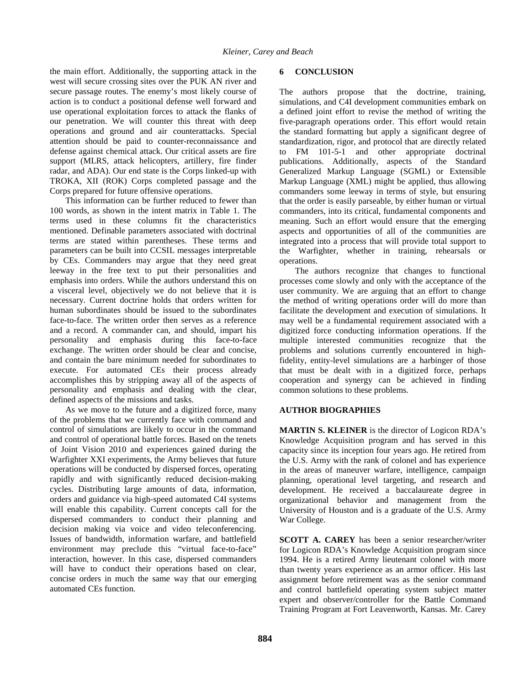the main effort. Additionally, the supporting attack in the west will secure crossing sites over the PUK AN river and secure passage routes. The enemy's most likely course of action is to conduct a positional defense well forward and use operational exploitation forces to attack the flanks of our penetration. We will counter this threat with deep operations and ground and air counterattacks. Special attention should be paid to counter-reconnaissance and defense against chemical attack. Our critical assets are fire support (MLRS, attack helicopters, artillery, fire finder radar, and ADA). Our end state is the Corps linked-up with TROKA, XII (ROK) Corps completed passage and the Corps prepared for future offensive operations.

This information can be further reduced to fewer than 100 words, as shown in the intent matrix in Table 1. The terms used in these columns fit the characteristics mentioned. Definable parameters associated with doctrinal terms are stated within parentheses. These terms and parameters can be built into CCSIL messages interpretable by CEs. Commanders may argue that they need great leeway in the free text to put their personalities and emphasis into orders. While the authors understand this on a visceral level, objectively we do not believe that it is necessary. Current doctrine holds that orders written for human subordinates should be issued to the subordinates face-to-face. The written order then serves as a reference and a record. A commander can, and should, impart his personality and emphasis during this face-to-face exchange. The written order should be clear and concise, and contain the bare minimum needed for subordinates to execute. For automated CEs their process already accomplishes this by stripping away all of the aspects of personality and emphasis and dealing with the clear, defined aspects of the missions and tasks.

As we move to the future and a digitized force, many of the problems that we currently face with command and control of simulations are likely to occur in the command and control of operational battle forces. Based on the tenets of Joint Vision 2010 and experiences gained during the Warfighter XXI experiments, the Army believes that future operations will be conducted by dispersed forces, operating rapidly and with significantly reduced decision-making cycles. Distributing large amounts of data, information, orders and guidance via high-speed automated C4I systems will enable this capability. Current concepts call for the dispersed commanders to conduct their planning and decision making via voice and video teleconferencing. Issues of bandwidth, information warfare, and battlefield environment may preclude this "virtual face-to-face" interaction, however. In this case, dispersed commanders will have to conduct their operations based on clear, concise orders in much the same way that our emerging automated CEs function.

## **6 CONCLUSION**

The authors propose that the doctrine, training, simulations, and C4I development communities embark on a defined joint effort to revise the method of writing the five-paragraph operations order. This effort would retain the standard formatting but apply a significant degree of standardization, rigor, and protocol that are directly related to FM 101-5-1 and other appropriate doctrinal publications. Additionally, aspects of the Standard Generalized Markup Language (SGML) or Extensible Markup Language (XML) might be applied, thus allowing commanders some leeway in terms of style, but ensuring that the order is easily parseable, by either human or virtual commanders, into its critical, fundamental components and meaning. Such an effort would ensure that the emerging aspects and opportunities of all of the communities are integrated into a process that will provide total support to the Warfighter, whether in training, rehearsals or operations.

The authors recognize that changes to functional processes come slowly and only with the acceptance of the user community. We are arguing that an effort to change the method of writing operations order will do more than facilitate the development and execution of simulations. It may well be a fundamental requirement associated with a digitized force conducting information operations. If the multiple interested communities recognize that the problems and solutions currently encountered in highfidelity, entity-level simulations are a harbinger of those that must be dealt with in a digitized force, perhaps cooperation and synergy can be achieved in finding common solutions to these problems.

### **AUTHOR BIOGRAPHIES**

**MARTIN S. KLEINER** is the director of Logicon RDA's Knowledge Acquisition program and has served in this capacity since its inception four years ago. He retired from the U.S. Army with the rank of colonel and has experience in the areas of maneuver warfare, intelligence, campaign planning, operational level targeting, and research and development. He received a baccalaureate degree in organizational behavior and management from the University of Houston and is a graduate of the U.S. Army War College.

**SCOTT A. CAREY** has been a senior researcher/writer for Logicon RDA's Knowledge Acquisition program since 1994. He is a retired Army lieutenant colonel with more than twenty years experience as an armor officer. His last assignment before retirement was as the senior command and control battlefield operating system subject matter expert and observer/controller for the Battle Command Training Program at Fort Leavenworth, Kansas. Mr. Carey